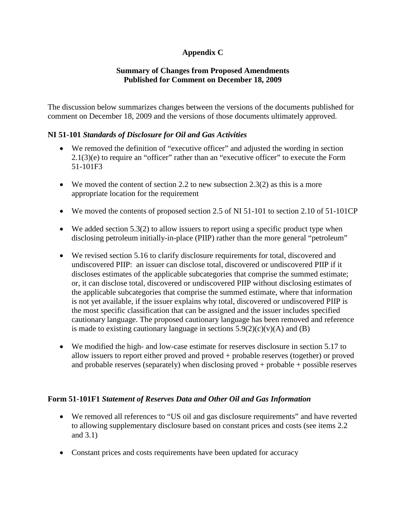# **Appendix C**

#### **Summary of Changes from Proposed Amendments Published for Comment on December 18, 2009**

The discussion below summarizes changes between the versions of the documents published for comment on December 18, 2009 and the versions of those documents ultimately approved.

#### **NI 51-101** *Standards of Disclosure for Oil and Gas Activities*

- We removed the definition of "executive officer" and adjusted the wording in section 2.1(3)(e) to require an "officer" rather than an "executive officer" to execute the Form 51-101F3
- $\bullet$  We moved the content of section 2.2 to new subsection 2.3(2) as this is a more appropriate location for the requirement
- We moved the contents of proposed section 2.5 of NI 51-101 to section 2.10 of 51-101CP
- $\bullet$  We added section 5.3(2) to allow issuers to report using a specific product type when disclosing petroleum initially-in-place (PIIP) rather than the more general "petroleum"
- We revised section 5.16 to clarify disclosure requirements for total, discovered and undiscovered PIIP: an issuer can disclose total, discovered or undiscovered PIIP if it discloses estimates of the applicable subcategories that comprise the summed estimate; or, it can disclose total, discovered or undiscovered PIIP without disclosing estimates of the applicable subcategories that comprise the summed estimate, where that information is not yet available, if the issuer explains why total, discovered or undiscovered PIIP is the most specific classification that can be assigned and the issuer includes specified cautionary language. The proposed cautionary language has been removed and reference is made to existing cautionary language in sections  $5.9(2)(c)(v)(A)$  and (B)
- We modified the high- and low-case estimate for reserves disclosure in section 5.17 to allow issuers to report either proved and proved + probable reserves (together) or proved and probable reserves (separately) when disclosing proved + probable + possible reserves

#### **Form 51-101F1** *Statement of Reserves Data and Other Oil and Gas Information*

- We removed all references to "US oil and gas disclosure requirements" and have reverted to allowing supplementary disclosure based on constant prices and costs (see items 2.2 and 3.1)
- Constant prices and costs requirements have been updated for accuracy